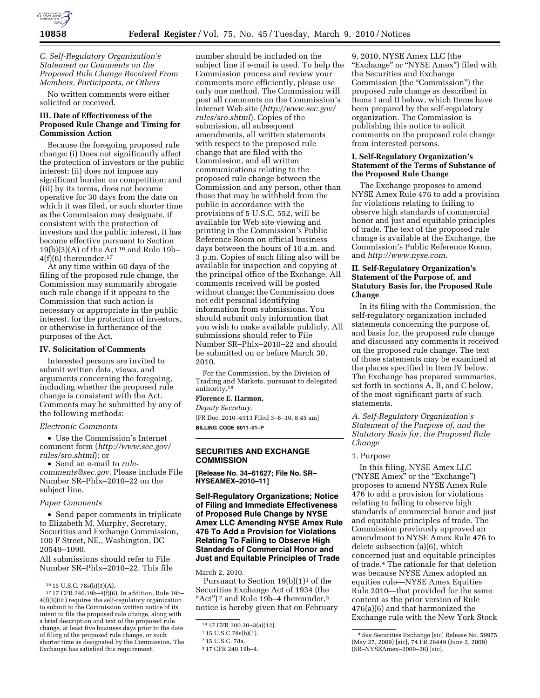

### *C. Self-Regulatory Organization's Statement on Comments on the Proposed Rule Change Received From Members, Participants, or Others*

No written comments were either solicited or received.

# **III. Date of Effectiveness of the Proposed Rule Change and Timing for Commission Action**

Because the foregoing proposed rule change: (i) Does not significantly affect the protection of investors or the public interest; (ii) does not impose any significant burden on competition; and (iii) by its terms, does not become operative for 30 days from the date on which it was filed, or such shorter time as the Commission may designate, if consistent with the protection of investors and the public interest, it has become effective pursuant to Section 19(b)(3)(A) of the Act 16 and Rule 19b– 4(f)(6) thereunder.17

At any time within 60 days of the filing of the proposed rule change, the Commission may summarily abrogate such rule change if it appears to the Commission that such action is necessary or appropriate in the public interest, for the protection of investors, or otherwise in furtherance of the purposes of the Act.

#### **IV. Solicitation of Comments**

Interested persons are invited to submit written data, views, and arguments concerning the foregoing, including whether the proposed rule change is consistent with the Act. Comments may be submitted by any of the following methods:

#### *Electronic Comments*

• Use the Commission's Internet comment form (*http://www.sec.gov/ rules/sro.shtml*); or

• Send an e-mail to *rulecomments@sec.gov.* Please include File Number SR–Phlx–2010–22 on the subject line.

#### *Paper Comments*

• Send paper comments in triplicate to Elizabeth M. Murphy, Secretary, Securities and Exchange Commission, 100 F Street, NE., Washington, DC 20549–1090.

All submissions should refer to File Number SR–Phlx–2010–22. This file

number should be included on the subject line if e-mail is used. To help the Commission process and review your comments more efficiently, please use only one method. The Commission will post all comments on the Commission's Internet Web site (*http://www.sec.gov/ rules/sro.shtml*). Copies of the submission, all subsequent amendments, all written statements with respect to the proposed rule change that are filed with the Commission, and all written communications relating to the proposed rule change between the Commission and any person, other than those that may be withheld from the public in accordance with the provisions of 5 U.S.C. 552, will be available for Web site viewing and printing in the Commission's Public Reference Room on official business days between the hours of 10 a.m. and 3 p.m. Copies of such filing also will be available for inspection and copying at the principal office of the Exchange. All comments received will be posted without change; the Commission does not edit personal identifying information from submissions. You should submit only information that you wish to make available publicly. All submissions should refer to File Number SR–Phlx–2010–22 and should be submitted on or before March 30, 2010.

For the Commission, by the Division of Trading and Markets, pursuant to delegated authority.18

# **Florence E. Harmon,**

*Deputy Secretary.*  [FR Doc. 2010–4913 Filed 3–8–10; 8:45 am] **BILLING CODE 8011–01–P** 

**SECURITIES AND EXCHANGE COMMISSION** 

**[Release No. 34–61627; File No. SR– NYSEAMEX–2010–11]** 

# **Self-Regulatory Organizations; Notice of Filing and Immediate Effectiveness of Proposed Rule Change by NYSE Amex LLC Amending NYSE Amex Rule 476 To Add a Provision for Violations Relating To Failing to Observe High Standards of Commercial Honor and Just and Equitable Principles of Trade**

March 2, 2010.

Pursuant to Section  $19(b)(1)^1$  of the Securities Exchange Act of 1934 (the "Act")<sup>2</sup> and Rule 19b-4 thereunder,<sup>3</sup> notice is hereby given that on February

9, 2010, NYSE Amex LLC (the "Exchange" or "NYSE Amex") filed with the Securities and Exchange Commission (the "Commission") the proposed rule change as described in Items I and II below, which Items have been prepared by the self-regulatory organization. The Commission is publishing this notice to solicit comments on the proposed rule change from interested persons.

#### **I. Self-Regulatory Organization's Statement of the Terms of Substance of the Proposed Rule Change**

The Exchange proposes to amend NYSE Amex Rule 476 to add a provision for violations relating to failing to observe high standards of commercial honor and just and equitable principles of trade. The text of the proposed rule change is available at the Exchange, the Commission's Public Reference Room, and *http://www.nyse.com.* 

### **II. Self-Regulatory Organization's Statement of the Purpose of, and Statutory Basis for, the Proposed Rule Change**

In its filing with the Commission, the self-regulatory organization included statements concerning the purpose of, and basis for, the proposed rule change and discussed any comments it received on the proposed rule change. The text of those statements may be examined at the places specified in Item IV below. The Exchange has prepared summaries, set forth in sections A, B, and C below, of the most significant parts of such statements.

# *A. Self-Regulatory Organization's Statement of the Purpose of, and the Statutory Basis for, the Proposed Rule Change*

#### 1. Purpose

In this filing, NYSE Amex LLC (''NYSE Amex'' or the ''Exchange'') proposes to amend NYSE Amex Rule 476 to add a provision for violations relating to failing to observe high standards of commercial honor and just and equitable principles of trade. The Commission previously approved an amendment to NYSE Amex Rule 476 to delete subsection (a)(6), which concerned just and equitable principles of trade.4 The rationale for that deletion was because NYSE Amex adopted an equities rule—NYSE Amex Equities Rule 2010—that provided for the same content as the prior version of Rule 476(a)(6) and that harmonized the Exchange rule with the New York Stock

<sup>16 15</sup> U.S.C. 78s(b)(3)(A).<br><sup>17</sup> 17 CFR 240.19b–4(f)(6). In addition, Rule 19b– 4(f)(6)(iii) requires the self-regulatory organization to submit to the Commission written notice of its intent to file the proposed rule change, along with a brief description and text of the proposed rule change, at least five business days prior to the date of filing of the proposed rule change, or such shorter time as designated by the Commission. The Exchange has satisfied this requirement.

<sup>18</sup> 17 CFR 200.30–3(a)(12).

<sup>1</sup> 15 U.S.C.78s(b)(1).

<sup>2</sup> 15 U.S.C. 78a.

<sup>3</sup> 17 CFR 240.19b–4.

<sup>4</sup>*See* Securities Exchange [sic] Release No. 59975 (May 27, 2009) [sic], 74 FR 26449 (June 2, 2009) (SR–NYSEAmex–2009–26) [sic].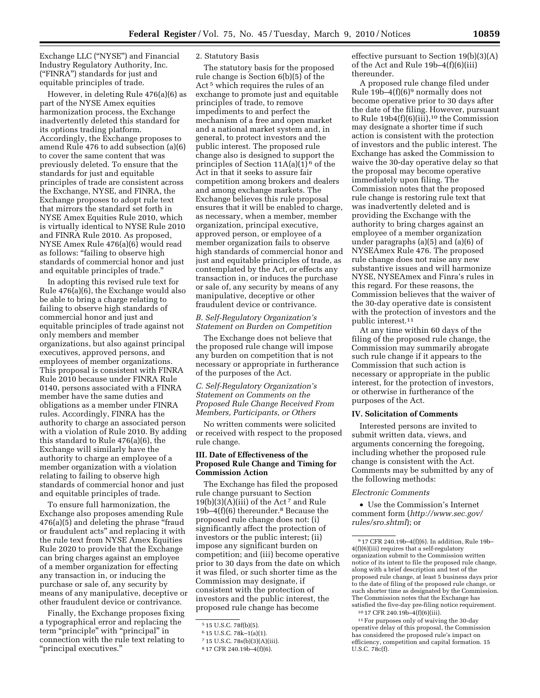Exchange LLC (''NYSE'') and Financial Industry Regulatory Authority, Inc. (''FINRA'') standards for just and equitable principles of trade.

However, in deleting Rule 476(a)(6) as part of the NYSE Amex equities harmonization process, the Exchange inadvertently deleted this standard for its options trading platform. Accordingly, the Exchange proposes to amend Rule 476 to add subsection (a)(6) to cover the same content that was previously deleted. To ensure that the standards for just and equitable principles of trade are consistent across the Exchange, NYSE, and FINRA, the Exchange proposes to adopt rule text that mirrors the standard set forth in NYSE Amex Equities Rule 2010, which is virtually identical to NYSE Rule 2010 and FINRA Rule 2010. As proposed, NYSE Amex Rule 476(a)(6) would read as follows: "failing to observe high standards of commercial honor and just and equitable principles of trade.''

In adopting this revised rule text for Rule 476(a)(6), the Exchange would also be able to bring a charge relating to failing to observe high standards of commercial honor and just and equitable principles of trade against not only members and member organizations, but also against principal executives, approved persons, and employees of member organizations. This proposal is consistent with FINRA Rule 2010 because under FINRA Rule 0140, persons associated with a FINRA member have the same duties and obligations as a member under FINRA rules. Accordingly, FINRA has the authority to charge an associated person with a violation of Rule 2010. By adding this standard to Rule 476(a)(6), the Exchange will similarly have the authority to charge an employee of a member organization with a violation relating to failing to observe high standards of commercial honor and just and equitable principles of trade.

To ensure full harmonization, the Exchange also proposes amending Rule 476(a)(5) and deleting the phrase ''fraud or fraudulent acts'' and replacing it with the rule text from NYSE Amex Equities Rule 2020 to provide that the Exchange can bring charges against an employee of a member organization for effecting any transaction in, or inducing the purchase or sale of, any security by means of any manipulative, deceptive or other fraudulent device or contrivance.

Finally, the Exchange proposes fixing a typographical error and replacing the term "principle" with "principal" in connection with the rule text relating to ''principal executives.''

# 2. Statutory Basis

The statutory basis for the proposed rule change is Section 6(b)(5) of the Act<sup>5</sup> which requires the rules of an exchange to promote just and equitable principles of trade, to remove impediments to and perfect the mechanism of a free and open market and a national market system and, in general, to protect investors and the public interest. The proposed rule change also is designed to support the principles of Section  $11A(a)(1)^6$  of the Act in that it seeks to assure fair competition among brokers and dealers and among exchange markets. The Exchange believes this rule proposal ensures that it will be enabled to charge, as necessary, when a member, member organization, principal executive, approved person, or employee of a member organization fails to observe high standards of commercial honor and just and equitable principles of trade, as contemplated by the Act, or effects any transaction in, or induces the purchase or sale of, any security by means of any manipulative, deceptive or other fraudulent device or contrivance.

### *B. Self-Regulatory Organization's Statement on Burden on Competition*

The Exchange does not believe that the proposed rule change will impose any burden on competition that is not necessary or appropriate in furtherance of the purposes of the Act.

### *C. Self-Regulatory Organization's Statement on Comments on the Proposed Rule Change Received From Members, Participants, or Others*

No written comments were solicited or received with respect to the proposed rule change.

# **III. Date of Effectiveness of the Proposed Rule Change and Timing for Commission Action**

The Exchange has filed the proposed rule change pursuant to Section  $19(b)(3)(A)(iii)$  of the Act<sup>7</sup> and Rule 19b–4(f)(6) thereunder.8 Because the proposed rule change does not: (i) significantly affect the protection of investors or the public interest; (ii) impose any significant burden on competition; and (iii) become operative prior to 30 days from the date on which it was filed, or such shorter time as the Commission may designate, if consistent with the protection of investors and the public interest, the proposed rule change has become

effective pursuant to Section 19(b)(3)(A) of the Act and Rule 19b–4(f)(6)(iii) thereunder.

A proposed rule change filed under Rule  $19b-4(f)(6)$ <sup>9</sup> normally does not become operative prior to 30 days after the date of the filing. However, pursuant to Rule  $19b4(f)(6)(iii)$ ,<sup>10</sup> the Commission may designate a shorter time if such action is consistent with the protection of investors and the public interest. The Exchange has asked the Commission to waive the 30-day operative delay so that the proposal may become operative immediately upon filing. The Commission notes that the proposed rule change is restoring rule text that was inadvertently deleted and is providing the Exchange with the authority to bring charges against an employee of a member organization under paragraphs (a)(5) and (a)(6) of NYSEAmex Rule 476. The proposed rule change does not raise any new substantive issues and will harmonize NYSE, NYSEAmex and Finra's rules in this regard. For these reasons, the Commission believes that the waiver of the 30-day operative date is consistent with the protection of investors and the public interest.11

At any time within 60 days of the filing of the proposed rule change, the Commission may summarily abrogate such rule change if it appears to the Commission that such action is necessary or appropriate in the public interest, for the protection of investors, or otherwise in furtherance of the purposes of the Act.

#### **IV. Solicitation of Comments**

Interested persons are invited to submit written data, views, and arguments concerning the foregoing, including whether the proposed rule change is consistent with the Act. Comments may be submitted by any of the following methods:

#### *Electronic Comments*

• Use the Commission's Internet comment form (*http://www.sec.gov/ rules/sro.shtml*); or

<sup>5</sup> 15 U.S.C. 78f(b)(5).

<sup>6</sup> 15 U.S.C. 78k–1(a)(1).

<sup>7</sup> 15 U.S.C. 78s(b)(3)(A)(iii).

<sup>8</sup> 17 CFR 240.19b–4(f)(6).

<sup>9</sup> 17 CFR 240.19b–4(f)(6). In addition, Rule 19b– 4(f)(6)(iii) requires that a self-regulatory organization submit to the Commission written notice of its intent to file the proposed rule change, along with a brief description and test of the proposed rule change, at least 5 business days prior to the date of filing of the proposed rule change, or such shorter time as designated by the Commission. The Commission notes that the Exchange has satisfied the five-day pre-filing notice requirement.

<sup>10</sup> 17 CFR 240.19b–4(f)(6)(iii).

<sup>11</sup>For purposes only of waiving the 30-day operative delay of this proposal, the Commission has considered the proposed rule's impact on efficiency, competition and capital formation. 15 U.S.C. 78c(f).